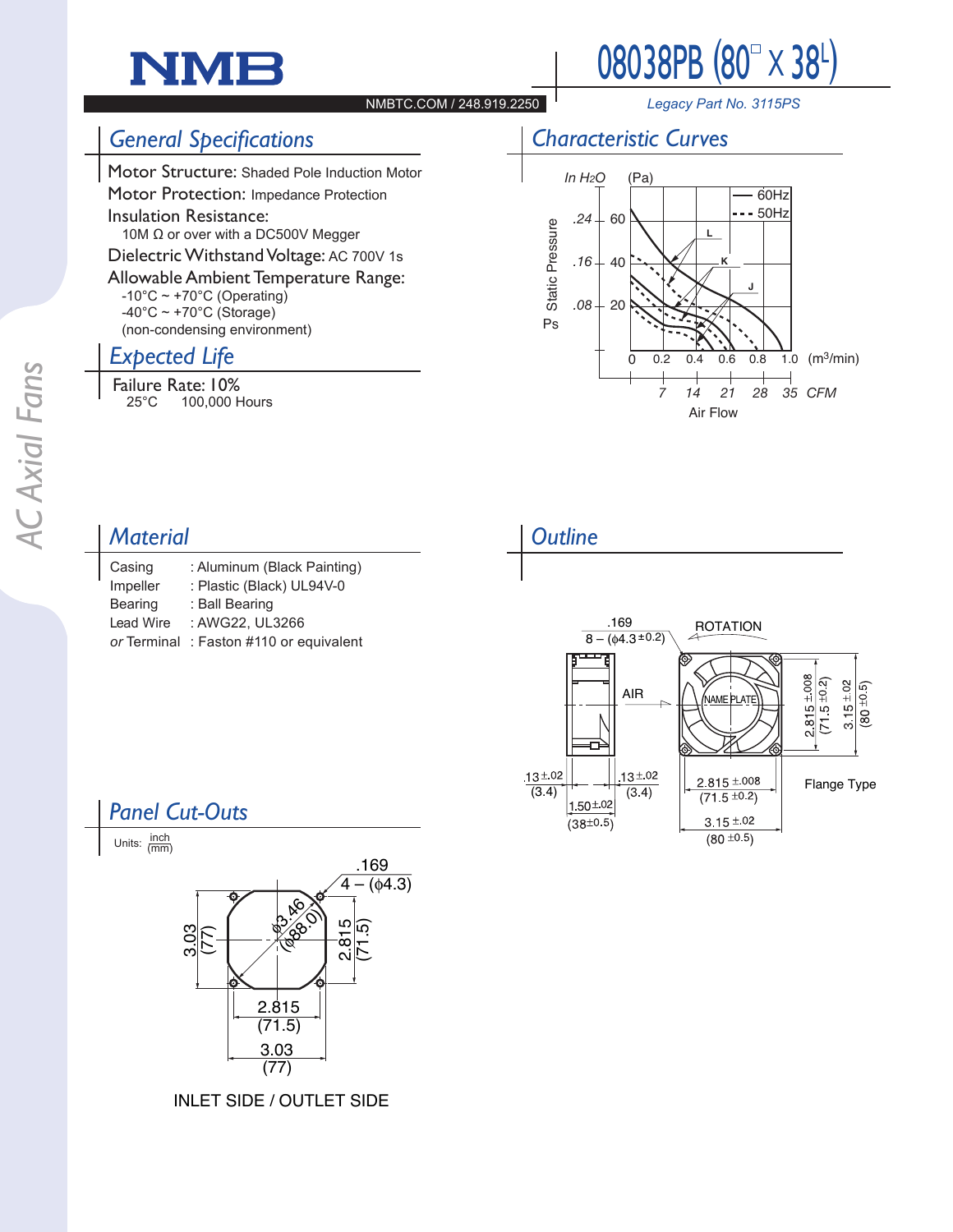# NMF



#### NMBTC.COM / 248.919.2250

*Legacy Part No. 3115PS*

#### *General Specifications*

Motor Structure: Shaded Pole Induction Motor Motor Protection: Impedance Protection

Insulation Resistance:

 10M Ω or over with a DC500V Megger

Dielectric Withstand Voltage: AC 700V 1s

Allowable Ambient Temperature Range:  $-10^{\circ}$ C ~ +70 $^{\circ}$ C (Operating)  $-40^{\circ}$ C ~ +70 $^{\circ}$ C (Storage)

(non-condensing environment)

### *Expected Life*

**Failure Rate: 10%**<br>100,000 + 100,000 Hours





#### *Material*

| Casing           | : Aluminum (Black Painting) |
|------------------|-----------------------------|
| Impeller         | : Plastic (Black) UL94V-0   |
| Bearing          | : Ball Bearing              |
| <b>Lead Wire</b> | : AWG22, UL3266             |
| or Terminal      | : Faston #110 or equivalent |
|                  |                             |





## *Panel Cut-Outs*



INLET SIDE / OUTLET SIDE